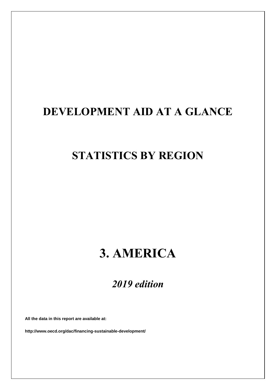# **DEVELOPMENT AID AT A GLANCE**

# **STATISTICS BY REGION**

# **3. AMERICA**

## *2019 edition*

**All the data in this report are available at:**

**http://www.oecd.org/dac/financing-sustainable-development/**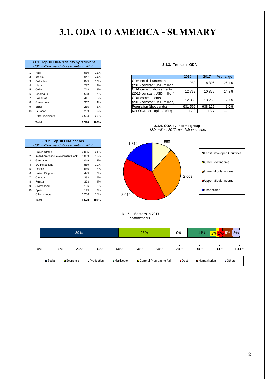## **3.1. ODA TO AMERICA - SUMMARY**

|                |                  | 3.1.1. Top 10 ODA receipts by recipient<br>USD million, net disbursements in 2017 |      |
|----------------|------------------|-----------------------------------------------------------------------------------|------|
| 1              | Haiti            | 980                                                                               | 11%  |
| $\overline{2}$ | <b>Bolivia</b>   | 947                                                                               | 11%  |
| 3              | Colombia         | 845                                                                               | 10%  |
| $\overline{4}$ | Mexico           | 737                                                                               | 9%   |
| 5              | Cuba             | 718                                                                               | 8%   |
| 6              | Nicaragua        | 563                                                                               | 7%   |
| 7              | Honduras         | 441                                                                               | 5%   |
| 8              | Guatemala        | 367                                                                               | 4%   |
| 9              | Brazil           | 265                                                                               | 3%   |
| 10             | Ecuador          | 203                                                                               | 2%   |
|                | Other recipients | 2 5 0 4                                                                           | 29%  |
|                | Total            | 8570                                                                              | 100% |

1 United States 2055 24%<br>2 Inter-American Development Bank 1083 13% Inter-American Development Bank 1 083 13% Germany 1 049 12% EU Institutions 859 10% France 666 8% United Kingdom 445 5% Canada 393 5% Russia 373 4% Switzerland 196 2%<br>
9 Spain 195 2%<br>
9 Spain 195 2%

**3.1.2. Top 10 ODA donors**

*USD million, net disbursements in 2017*

Other donors 1 256 15% **Total 8 570 100%**

10 Spain

| 3.1.3.  Trends in ODA |  |
|-----------------------|--|
|                       |  |

| .         |     |     |                                |         |                          |                                          |
|-----------|-----|-----|--------------------------------|---------|--------------------------|------------------------------------------|
| Bolivia   | 947 | 11% |                                | 2016    | 2017                     | % change                                 |
| Colombia  | 845 |     | <b>IODA</b> net disbursements  |         |                          | $-26.4%$                                 |
| Mexico    | 737 | 9%  | (2016 constant USD million)    |         |                          |                                          |
| Cuba      | 718 | 8%  | <b>ODA</b> gross disbursements |         |                          | $-14.8\%$                                |
| Nicaragua | 563 | 7%  | (2016 constant USD million)    |         |                          |                                          |
| Honduras  | 441 | 5%  | <b>IODA</b> commitments        |         |                          | 2.7%                                     |
| Guatemala | 367 | 4%  | (2016 constant USD million)    |         |                          |                                          |
| Brazil    | 265 | 3%  | Population (thousands)         | 631 596 | 638 125                  | 1.0%                                     |
| Ecuador   | 203 | 2%  | Net ODA per capita (USD)       | 17.9    | 13.4                     |                                          |
|           | 5   |     | 10%                            |         | 11 280<br>12762<br>12886 | ັບບັ<br>.<br>8 3 0 6<br>10876<br>13 2 35 |

**3.1.4. ODA by income group** *USD million, 2017, net disbursements*



 **3.1.5. Sectors in 2017**  *commitments*

|    | 39%             |  |                   |                    | 26%                  |     |                       | 14%                 | <b>2% 2%</b>        | 3%<br>5% |               |
|----|-----------------|--|-------------------|--------------------|----------------------|-----|-----------------------|---------------------|---------------------|----------|---------------|
| 0% | 10%             |  | 20%               | 30%                | 40%                  | 50% | 60%                   | 70%                 | 80%                 | 90%      | 100%          |
|    | <b>□</b> Social |  | <b>□</b> Economic | <b>OProduction</b> | <b>□</b> Multisector |     | General Programme Aid | $\blacksquare$ Debt | <b>Humanitarian</b> |          | $\Box$ Others |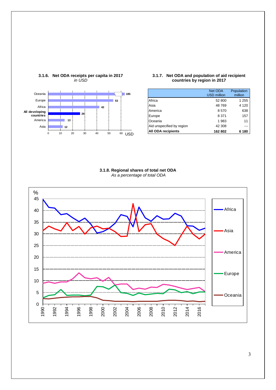

#### **3.1.6. Net ODA receipts per capita in 2017** *in USD*

#### **3.1.7. Net ODA and population of aid recipient countries by region in 2017**

|                           | Net ODA            | Population |
|---------------------------|--------------------|------------|
|                           | <b>USD million</b> | million    |
| Africa                    | 52 800             | 1 2 5 5    |
| Asia                      | 48769              | 4 1 2 0    |
| America                   | 8570               | 638        |
| Europe                    | 8 3 7 1            | 157        |
| Oceania                   | 1 983              | 11         |
| Aid unspecified by region | 42 308             |            |
| <b>All ODA recipients</b> | 162 802            | 6 180      |

#### **3.1.8. Regional shares of total net ODA** *As a percentage of total ODA*

<span id="page-2-0"></span>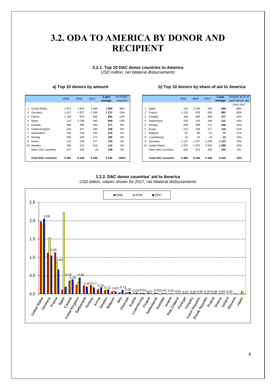### **3.2. ODA [TO](#page-2-0) AMERICA BY DONOR AND RECIPIENT**

**3.2.1. Top 10 DAC donor countries to America** *USD million, net bilateral disbursements*

#### **a) Top 10 donors by amount b) Top 10 donors by share of aid to America**

|                            | 2015    | 2016    | 2017    | 3-year  | % of DAC  |
|----------------------------|---------|---------|---------|---------|-----------|
|                            |         |         |         | average | countries |
|                            |         |         |         |         |           |
| <b>United States</b>       | 1975    | 1875    | 2 0 5 5 | 1969    | 30%       |
| 2 Germany                  | 1 1 2 7 | 1537    | 1 0 4 9 | 1 2 3 7 | 19%       |
| 3 France                   | 1 1 3 5 | 876     | 666     | 892     | 14%       |
| 4 Spain                    | 115     | 2 2 3 8 | 195     | 849     | 13%       |
| 5 Canada                   | 358     | 380     | 393     | 377     | 6%        |
| 6 United Kingdom           | 243     | 327     | 445     | 338     | 5%        |
| Switzerland                | 230     | 219     | 196     | 215     | 3%        |
| 8 Norway                   | 238     | 208     | 171     | 206     | 3%        |
| 9 Korea                    | 114     | 138     | 177     | 143     | 2%        |
| 10 Sweden                  | 100     | 115     | 116     | 110     | 2%        |
| Other DAC countries        | 247     | 336     | $-16$   | 189     | 3%        |
|                            |         |         |         |         |           |
| <b>Total DAC countries</b> | 5882    | 8 2 4 9 | 5446    | 6526    | 100%      |

| % of DAC<br>countries |    |                            | 2015    | 2016    | 2017    | 3-year<br>average | America as % of<br>each donor's aid |
|-----------------------|----|----------------------------|---------|---------|---------|-------------------|-------------------------------------|
|                       |    |                            |         |         |         |                   | 2015-2017                           |
| 30%                   |    | Spain                      | 115     | 2 2 3 8 | 195     | 849               | 88%                                 |
| 19%                   | 2  | France                     | 1 1 3 5 | 876     | 666     | 892               | 20%                                 |
| 14%                   | 3  | Canada                     | 358     | 380     | 393     | 377               | 15%                                 |
| 13%                   | 4  | Switzerland                | 230     | 219     | 196     | 215               | 14%                                 |
| 6%                    | 5  | Norway                     | 238     | 208     | 171     | 206               | 14%                                 |
| 5%                    | 6  | Korea                      | 114     | 138     | 177     | 143               | 11%                                 |
| 3%                    |    | Belgium                    | 67      | 80      | 67      | 71                | 11%                                 |
| 3%                    | 8  | Luxembourg                 | 21      | 25      | 23      | 23                | 10%                                 |
| 2%                    | 9  | Germany                    | 1 1 2 7 | 1537    | 1 0 4 9 | 1 2 3 7           | 10%                                 |
| 2%                    | 10 | <b>United States</b>       | 1975    | 1875    | 2055    | 1969              | 10%                                 |
| 3%                    |    | Other DAC countries        | 502     | 674     | 456     | 544               | 3%                                  |
|                       |    |                            |         |         |         |                   |                                     |
| 100%                  |    | <b>Total DAC countries</b> | 5882    | 8 2 4 9 | 5446    | 6526              | 10%                                 |

#### **3.2.2. DAC donor countries' aid to America**

*USD billion, values shown for 2017, net bilateral disbursements*

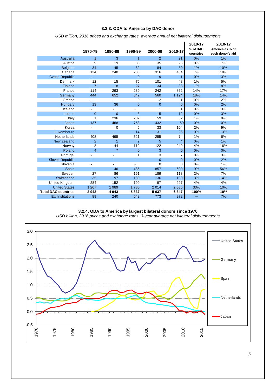#### **3.2.3. ODA to America by DAC donor**

|                            |                |                |                |                |                | 2010-17               | 2010-17                             |
|----------------------------|----------------|----------------|----------------|----------------|----------------|-----------------------|-------------------------------------|
|                            | 1970-79        | 1980-89        | 1990-99        | 2000-09        | 2010-17        | % of DAC<br>countries | America as % of<br>each donor's aid |
| Australia                  | 1              | 3              | $\mathbf{1}$   | 2              | 21             | 0%                    | 1%                                  |
| Austria                    | 9              | 19             | 33             | 35             | 26             | 0%                    | 7%                                  |
| <b>Belgium</b>             | 34             | 45             | 82             | 84             | 80             | 1%                    | 10%                                 |
| Canada                     | 134            | 240            | 233            | 316            | 454            | 7%                    | 18%                                 |
| <b>Czech Republic</b>      |                |                | $\mathbf{0}$   | 9              | 1              | 0%                    | 3%                                  |
| Denmark                    | 12             | 15             | 76             | 101            | 48             | 1%                    | 5%                                  |
| Finland                    | $\overline{7}$ | 18             | 27             | 34             | 38             | 1%                    | 8%                                  |
| France                     | 114            | 293            | 289            | 242            | 862            | 14%                   | 17%                                 |
| Germany                    | 444            | 652            | 642            | 560            | 1 1 2 4        | 18%                   | 14%                                 |
| Greece                     |                |                | 0              | 2              | 1              | 0%                    | 2%                                  |
| Hungary                    | 13             | 36             | $\overline{0}$ | $\overline{0}$ | $\mathbf 0$    | 0%                    | 2%                                  |
| Iceland                    |                |                |                | 1              |                | 0%                    | 3%                                  |
| Ireland                    | $\overline{0}$ | $\overline{0}$ | 3              | 15             | 12             | 0%                    | 3%                                  |
| Italy                      | 1              | 236            | 287            | 59             | 52             | 1%                    | 9%                                  |
| Japan                      | 137            | 468            | 753            | 432            | $-59$          | 0%                    | 0%                                  |
| Korea                      |                | $\Omega$       | 6              | 33             | 104            | 2%                    | 9%                                  |
| Luxembourg                 | ٠              | ٠              | 14             | 31             | 26             | 0%                    | 13%                                 |
| Netherlands                | 408            | 495            | 521            | 255            | 74             | 1%                    | 6%                                  |
| <b>New Zealand</b>         | $\overline{2}$ | $\overline{1}$ | $\overline{2}$ | 5              | $\overline{4}$ | 0%                    | 1%                                  |
| Norway                     | 8              | 44             | 112            | 122            | 249            | 4%                    | 16%                                 |
| Poland                     | $\overline{4}$ | $\overline{7}$ | $\overline{0}$ | 3              | $\mathbf 0$    | 0%                    | 0%                                  |
| Portugal                   | ٠              | ä,             | 1              | 3              | 7              | 0%                    | 3%                                  |
| <b>Slovak Republic</b>     |                |                | ٠              | $\overline{0}$ | $\overline{0}$ | 0%                    | 2%                                  |
| Slovenia                   |                |                |                | $\Omega$       | 0              | 0%                    | 1%                                  |
| Spain                      |                | 46             | 486            | 857            | 600            | 9%                    | 56%                                 |
| Sweden                     | 27             | 86             | 161            | 189            | 118            | 2%                    | 7%                                  |
| Switzerland                | 35             | 97             | 130            | 136            | 190            | 3%                    | 14%                                 |
| United Kingdom             | 284            | 152            | 199            | 97             | 227            | 4%                    | 4%                                  |
| <b>United States</b>       | 1 2 6 7        | 1 9 8 9        | 1780           | 2 0 1 4        | 2 0 8 5        | 33%                   | 10%                                 |
| <b>Total DAC countries</b> | 2942           | 4 9 4 3        | 5837           | 5 6 3 7        | 6 3 4 7        | 100%                  | 10%                                 |
| <b>EU Institutions</b>     | 89             | 240            | 642            | 773            | 972            | ---                   | 7%                                  |

*USD million, 2016 prices and exchange rates, average annual net bilateral disbursements*

**3.2.4. ODA to America by largest bilateral donors since 1970** *USD billion, 2016 prices and exchange rates, 3-year average net bilateral disbursements*

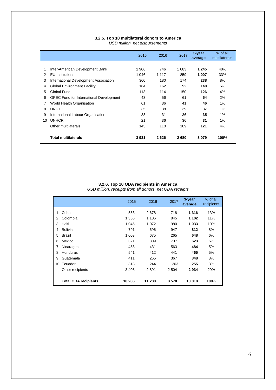#### **3.2.5. Top 10 multilateral donors to America** *USD million, net disbursements*

|    |                                                | 2015  | 2016    | 2017  | 3-year<br>average | $%$ of all<br>multilaterals |
|----|------------------------------------------------|-------|---------|-------|-------------------|-----------------------------|
|    |                                                |       |         |       |                   |                             |
| 1  | Inter-American Development Bank                | 1 906 | 746     | 1 083 | 1 2 4 5           | 40%                         |
| 2  | <b>EU</b> Institutions                         | 1 046 | 1 1 1 7 | 859   | 1 007             | 33%                         |
| 3  | International Development Association          | 360   | 180     | 174   | 238               | 8%                          |
| 4  | <b>Global Environment Facility</b>             | 164   | 162     | 92    | 140               | 5%                          |
| 5  | Global Fund                                    | 113   | 114     | 150   | 126               | 4%                          |
| 6  | <b>OPEC Fund for International Development</b> | 43    | 56      | 61    | 54                | 2%                          |
| 7  | World Health Organisation                      | 61    | 36      | 41    | 46                | 1%                          |
| 8  | <b>UNICEF</b>                                  | 35    | 38      | 39    | 37                | 1%                          |
| 9  | International Labour Organisation              | 38    | 31      | 36    | 35                | 1%                          |
| 10 | <b>UNHCR</b>                                   | 21    | 36      | 36    | 31                | 1%                          |
|    | Other multilaterals                            | 143   | 110     | 109   | 121               | 4%                          |
|    | <b>Total multilaterals</b>                     | 3931  | 2626    | 2680  | 3079              | 100%                        |

#### **3.2.6. Top 10 ODA recipients in America**

*USD million, receipts from all donors, net ODA receipts*

|    |                             | 2015    | 2016   | 2017    | 3-year<br>average | % of all<br>recipients |
|----|-----------------------------|---------|--------|---------|-------------------|------------------------|
|    |                             |         |        |         |                   |                        |
| 1  | Cuba                        | 553     | 2678   | 718     | 1 3 1 6           | 13%                    |
| 2  | Colombia                    | 1 356   | 1 106  | 845     | 1 102             | 11%                    |
| 3  | Haiti                       | 1 0 4 6 | 1072   | 980     | 1033              | 10%                    |
| 4  | Bolivia                     | 791     | 696    | 947     | 812               | 8%                     |
| 5  | Brazil                      | 1 0 0 3 | 675    | 265     | 648               | 6%                     |
| 6  | Mexico                      | 321     | 809    | 737     | 623               | 6%                     |
| 7  | Nicaragua                   | 458     | 431    | 563     | 484               | 5%                     |
| 8  | Honduras                    | 541     | 412    | 441     | 465               | 5%                     |
| 9  | Guatemala                   | 411     | 265    | 367     | 348               | 3%                     |
| 10 | Ecuador                     | 318     | 244    | 203     | 255               | 3%                     |
|    | Other recipients            | 3 4 0 8 | 2891   | 2 5 0 4 | 2934              | 29%                    |
|    | <b>Total ODA recipients</b> | 10 206  | 11 280 | 8570    | 10 018            | 100%                   |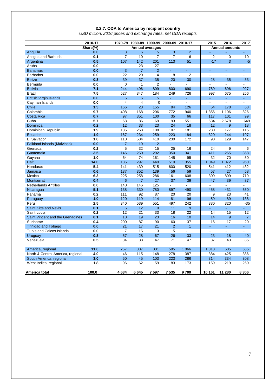| 3.2.7. ODA to America by recipient country                    |  |
|---------------------------------------------------------------|--|
| USD million, 2016 prices and exchange rates, net ODA receipts |  |

|                                    | 2010-17  | 1970-79        | 1980-89         | 1990-99                 | 2000-09        | 2010-17        | 2015                     | 2016                  | 2017           |
|------------------------------------|----------|----------------|-----------------|-------------------------|----------------|----------------|--------------------------|-----------------------|----------------|
|                                    | Share(%) |                |                 | <b>Annual averages</b>  |                |                |                          | <b>Annual amounts</b> |                |
| Anguilla                           | 0.0      | 3              | $6\phantom{1}6$ | 5                       | 3              | 2              | ÷.                       | ÷.                    | ω,             |
| Antigua and Barbuda                | 0.1      | $\overline{7}$ | 10              | $\overline{7}$          | $\overline{7}$ | 6              | 2                        | 0                     | 10             |
| Argentina                          | 0.5      | 107            | 142             | 201                     | 113            | 51             | $-17$                    | 3                     | $-5$           |
| Aruba                              | 0.0      | $\blacksquare$ | 23              | 27                      | ÷.             | $\blacksquare$ | ÷,                       | $\blacksquare$        |                |
| <b>Bahamas</b>                     | 0.0      | 3              | $\overline{7}$  | $\overline{2}$          |                | Ξ              |                          |                       |                |
| <b>Barbados</b>                    | 0.0      | 22             | 20              | $\overline{\mathbf{4}}$ | 8              | $\overline{2}$ | $\overline{a}$           | $\blacksquare$        | $\blacksquare$ |
| <b>Belize</b>                      | 0.3      | 39             | 37              | 35                      | 20             | 30             | 28                       | 35                    | 33             |
| Bermuda                            | 0.0      | 0              | $\mathbf{1}$    | $\overline{2}$          | $\blacksquare$ | ÷.             | $\overline{a}$           | $\overline{a}$        | ÷              |
| <b>Bolivia</b>                     | 7.1      | 244            | 496             | 809                     | 800            | 690            | 789                      | 696                   | 927            |
| <b>Brazil</b>                      | 7.5      | 527            | 347             | 184                     | 249            | 726            | 997                      | 675                   | 256            |
| <b>British Virgin Islands</b>      | 0.0      | 5              | 6               | 5                       | ä,             | ÷.             | ω.                       | Ξ                     | ä,             |
| Cayman Islands                     | 0.0      | 4              | $\overline{4}$  | $\mathbf 0$             | $\overline{a}$ | ä,             |                          | $\blacksquare$        |                |
| Chile                              | 1.3      | 166            | 23              | 155                     | 84             | 126            | 54                       | 178                   | 68             |
| Colombia                           | 9.7      | 408            | 168             | 206                     | 772            | 940            | 1 3 5 6                  | 1 1 0 6               | 826            |
| <b>Costa Rica</b>                  | 0.7      | 97             | 351             | 100                     | 35             | 66             | 117                      | 101                   | 99             |
| Cuba                               | 5.7      | 68             | 86              | 69                      | 93             | 551            | 534                      | 2678                  | 649            |
| Dominica                           | 0.2      | 12             | 33              | 23                      | 24             | 18             | 12                       | 9                     | 18             |
| Dominican Republic                 | 1.9      | 135            | 268             | 108                     | 107            | 181            | 280                      | 177                   | 115            |
| Ecuador                            | 1.9      | 167            | 234             | 259                     | 223            | 184            | 320                      | 244                   | 197            |
| El Salvador                        | 1.8      | 110            | 584             | 410                     | 230            | 172            | 90                       | 129                   | 147            |
| <b>Falkland Islands (Malvinas)</b> | 0.0      | $\overline{7}$ | 19              | $\overline{2}$          |                | L.             |                          | ÷.                    | ÷.             |
| Grenada                            | 0.2      | 5              | 32              | 15                      | 25             | 16             | 24                       | 9                     | 6              |
| Guatemala                          | 3.5      | 146            | 250             | 292                     | 350            | 341            | 411                      | 265                   | 358            |
| Guyana                             | 1.0      | 64             | 74              | 161                     | 145            | 95             | 32                       | 70                    | 50             |
| Haiti                              | 14.0     | 135            | 297             | 449                     | 510            | 1 3 5 5        | 1 0 4 9                  | 1 0 7 2               | 960            |
| Honduras                           | 5.4      | 141            | 439             | 515                     | 600            | 520            | 541                      | 412                   | 432            |
| Jamaica                            | 0.6      | 137            | 352             | 139                     | 56             | 59             | 57                       | 27                    | 58             |
| Mexico                             | 6.3      | 225            | 258             | 286                     | 161            | 608            | 309                      | 809                   | 719            |
| <b>Montserrat</b>                  | 0.4      | 6              | $\overline{7}$  | 27                      | 37             | 39             | 47                       | 39                    | 37             |
| <b>Netherlands Antilles</b>        | 0.0      | 140            | 146             | 125                     | $\blacksquare$ | $\blacksquare$ | $\overline{\phantom{a}}$ | $\blacksquare$        | $\blacksquare$ |
| Nicaragua                          | 5.1      | 138            | 330             | 780                     | 897            | 490            | 458                      | 431                   | 550            |
| Panama                             | 0.2      | 111            | 92              | 87                      | 20             | 20             | 9                        | 23                    | 41             |
| Paraguay                           | 1.0      | 120            | 119             | 114                     | 81             | 96             | 59                       | 89                    | 138            |
| Peru                               | 2.5      | 340            | 539             | 551                     | 497            | 242            | 330                      | 320                   | $-35$          |
| <b>Saint Kitts and Nevis</b>       | 0.1      | 5              | 12              | 9                       | 11             | 9              |                          | ä,                    | ä,             |
| Saint Lucia                        | 0.2      | 12             | 21              | 33                      | 18             | 22             | 14                       | 15                    | 12             |
| Saint Vincent and the Grenadines   | 0.1      | 10             | 19              | 23                      | 16             | 10             | 14                       | 9                     | $\overline{7}$ |
| Suriname                           | 0.4      | 200            | 87              | 90                      | 60             | 37             | 16                       | 17                    | 20             |
| <b>Trinidad and Tobago</b>         | 0.0      | 21             | 17              | 21                      | $\overline{2}$ | 1              |                          | L,                    | $\blacksquare$ |
| <b>Turks and Caicos Islands</b>    | 0.0      | 7              | 15              | 13                      | 5              |                |                          |                       |                |
| Uruguay                            | 0.3      | 57             | 28              | 67                      | 26             | 33             | 23                       | 18                    | 40             |
| Venezuela                          | 0.5      | 34             | 38              | 47                      | 71             | 47             | 37                       | 43                    | 85             |
|                                    |          |                |                 |                         |                |                |                          |                       |                |
| America, regional                  | 11.0     | 257            | 387             | 831                     | 595            | 1 0 6 6        | 1 3 1 3                  | 605                   | 535            |
| North & Central America, regional  | 4.0      | 46             | 115             | 148                     | 278            | 387            | 384                      | 425                   | 386            |
| South America, regional            | 3.0      | 50             | 45              | 103                     | 223            | 286            | 314                      | 334                   | 308            |
| West Indies, regional              | 1.8      | 96             | 62              | 59                      | 83             | 173            | 159                      | 219                   | 260            |
| America total                      | 100.0    | 4634           | 6645            | 7597                    | 7535           | 9700           | 10 161                   | 11 280                | 8 3 0 6        |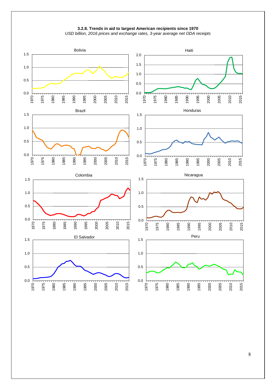

**3.2.8. Trends in aid to largest American recipients since 1970** *USD billion, 2016 prices and exchange rates, 3-year average net ODA receipts*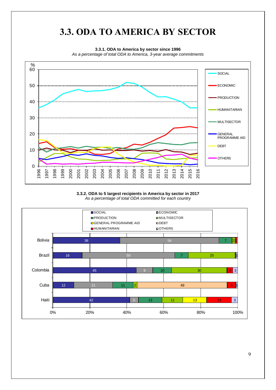### **3.3. ODA TO AMERICA BY SECTOR**

**3.3.1. ODA to America by sector since 1996**





**3.3.2. ODA to 5 largest recipients in America by sector in 2017** *As a percentage of total ODA committed for each country*

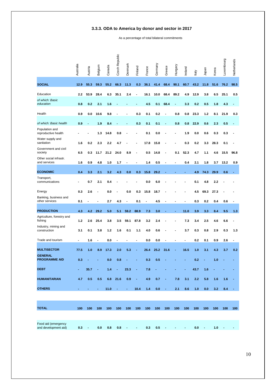### **3.3.3. ODA to America by donor and sector in 2017**

As a percentage of total bilateral commitments

|                                             | Australia | Austria        | Belgium | Canada | Czech Republic | Denmark | Finland | France | Germany | Greece         | Hungary | Ireland | Italy | Japan          | Korea | Luxembourg | Netherlands |
|---------------------------------------------|-----------|----------------|---------|--------|----------------|---------|---------|--------|---------|----------------|---------|---------|-------|----------------|-------|------------|-------------|
| <b>SOCIAL</b>                               | 12.9      | 55.3           | 59.3    | 55.2   | 66.3           | 11.3    | 0.3     | 36.1   | 41.4    | 68.4           | 90.1    | 60.7    | 43.2  | 11.8           | 51.6  | 76.2       | 98.5        |
| Education                                   | 2.2       | 53.9           | 28.4    | 6.3    | 35.1           | 2.4     |         | 16.1   | 10.0    | 68.4           | 89.2    | 4.9     | 12.9  | 3.8            | 6.5   | 25.1       | 0.5         |
| of which: Basic<br>education                | 0.8       | 0.2            | 2.1     | 1.6    |                |         |         | 4.5    | 0.1     | 68.4           |         | 3.3     | 0.2   | 0.5            | 1.8   | 4.3        |             |
| Health                                      | 0.9       | 0.0            | 10.6    | 9.8    |                |         | 0.3     | 0.1    | 0.2     | $\blacksquare$ | 0.8     | 0.8     | 23.3  | 1.2            | 8.1   | 21.9       | 0.3         |
| of which: Basic health                      | 0.9       |                | 1.9     | 8.4    |                |         | 0.3     | 0.1    | 0.1     |                | 0.8     | 0.8     | 22.9  | 0.6            | 2.3   | 0.5        |             |
| Population and<br>reproductive health       |           |                | 1.3     | 14.8   | 0.8            |         |         | 0.1    | 0.0     |                |         | 1.9     | 0.0   | 0.6            | 0.3   | 0.3        |             |
| Water supply and<br>sanitation              | 1.6       | 0.2            | 2.3     | 2.2    | 4.7            |         |         | 17.8   | 15.8    |                |         | 0.3     | 0.2   | 3.3            | 28.3  | 0.1        |             |
| Government and civil<br>society             | 6.5       | 0.3            | 11.7    | 21.2   | 24.0           | 8.9     |         | 0.5    | 14.8    |                | 0.1     | 52.3    | 4.7   | 1.1            | 4.6   | 15.5       | 96.8        |
| Other social infrastr.<br>and services      | 1.6       | 0.9            | 4.8     | 1.0    | 1.7            |         |         | 1.4    | 0.5     |                |         | 0.4     | 2.1   | 1.8            | 3.7   | 13.2       | 0.9         |
| <b>ECONOMIC</b>                             | 0.4       | 3.3            | 2.1     | 3.2    | 4.3            | 0.0     | 0.3     | 15.8   | 29.2    |                |         |         | 4.9   | 74.3           | 29.9  | 0.6        |             |
| Transport,<br>communications                |           | 0.7            | 2.1     | 0.4    |                |         |         | 0.0    | 6.0     |                |         |         | 0.1   | 4.8            | 2.2   |            |             |
| Energy                                      | 0.3       | 2.6            |         | 0.0    |                | 0.0     | 0.3     | 15.8   | 18.7    |                |         |         | 4.5   | 69.3           | 27.3  |            |             |
| Banking, business and<br>other services     | 0.1       |                |         | 2.7    | 4.3            |         | 0.1     |        | 4.5     |                |         |         | 0.3   | 0.2            | 0.4   | 0.6        |             |
| <b>PRODUCTION</b>                           | 4.3       | 4.2            | 29.2    | 5.0    | 5.1            | 59.2    | 88.9    | 7.3    | 3.0     |                |         | 11.0    | 3.9   | 3.3            | 8.4   | 9.5        | 1.3         |
| Agriculture, forestry and<br>fishing        | 1.2       | 2.6            | 25.4    | 3.8    | 3.5            | 59.1    | 87.8    | 3.2    | 2.4     |                |         | 7.3     | 3.4   | 2.5            | 4.6   | 6.6        |             |
| Industry, mining and<br>construction        | 3.1       | 0.1            | 3.8     | 1.2    | 1.6            | 0.1     | 1.1     | 4.0    | 0.6     |                |         | 3.7     | 0.3   | 0.8            | 2.9   | 0.3        | 1.3         |
| Trade and tourism                           |           | 1.6            |         | 0.0    |                |         |         | 0.0    | 0.0     |                |         |         | 0.2   | 0.1            | 0.9   | 2.6        |             |
| <b>MULTISECTOR</b>                          | 77.5      | 1.0            | 8.9     | 17.3   | 2.0            | 5.3     |         | 26.4   | 25.2    | 31.6           |         | 16.5    | 1.0   | 3.1            | 4.3   | 3.7        | 0.2         |
| <b>GENERAL</b><br><b>PROGRAMME AID</b>      | 0.3       |                |         | 0.0    | 0.8            |         |         | 0.3    | 0.5     |                |         |         | 0.2   |                | 1.0   |            |             |
| <b>DEBT</b>                                 |           | 35.7           |         | 1.4    |                | 23.3    |         | 7.8    |         |                |         |         | 43.7  | 1.6            |       |            |             |
| <b>HUMANITARIAN</b>                         | 4.7       | 0.5            | 0.5     | 6.8    | 21.6           | 0.9     |         | 4.9    | 0.7     |                | 7.8     | 3.1     | 2.2   | 5.8            | 1.6   | 1.6        |             |
| <b>OTHERS</b>                               |           |                |         | 11.0   |                |         | 10.4    | 1.4    | 0.0     | ÷              | 2.1     | 8.6     | 1.0   | 0.0            | 3.2   | 8.4        |             |
|                                             |           |                |         |        |                |         |         |        |         |                |         |         |       |                |       |            |             |
| <b>TOTAL</b>                                | 100       | 100            | 100     | 100    | 100            | 100     | 100     | 100    | 100     | 100            | 100     | 100     | 100   | 100            | 100   | 100        | 100         |
|                                             |           |                |         |        |                |         |         |        |         |                |         |         |       |                |       |            |             |
| Food aid (emergency<br>and development aid) | 0.3       | $\blacksquare$ | 0.0     | 0.8    | 0.8            |         |         | 0.3    | 0.5     |                |         |         | 0.0   | $\blacksquare$ | 1.0   |            |             |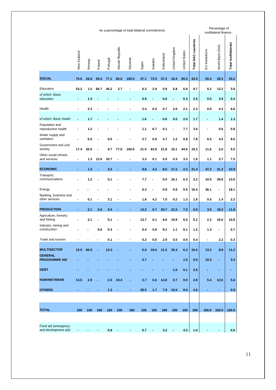|                                                        |                |        |        |          |                 | As a percentage of total bilateral commitments |       |        |             |                |               |                        |                 | Percentage of<br>multilateral finance |                     |
|--------------------------------------------------------|----------------|--------|--------|----------|-----------------|------------------------------------------------|-------|--------|-------------|----------------|---------------|------------------------|-----------------|---------------------------------------|---------------------|
|                                                        | New Zealand    | Norway | Poland | Portugal | Slovak Republic | Slovenia                                       | Spain | Sweden | Switzerland | United Kingdom | United States | countries<br>Total DAC | EU institutions | World Bank (IDA)                      | Total multilaterals |
| <b>SOCIAL</b>                                          | 70.6           | 26.8   | 93.4   | 77.1     | 80.6            | 100.0                                          | 37.1  | 73.9   | 37.2        | 19.4           | 65.5          | 43.0                   | 20.3            | 28.3                                  | 33.2                |
| Education                                              | 53.2           | 1.5    | 80.7   | 46.2     | 3.7             | -                                              | 6.3   | 2.9    | 5.9         | 5.8            | 6.9           | 8.7                    | 0.2             | 13.2                                  | 3.8                 |
| of which: Basic<br>education                           | $\blacksquare$ | 1.3    |        |          |                 |                                                | 0.9   |        | 0.6         | ٠              | 6.3           | 2.5                    | 0.0             | 3.9                                   | 0.4                 |
| Health                                                 |                | 2.3    |        |          |                 |                                                | 2.4   | 0.2    | 0.7         | 2.0            | 2.1           | 2.3                    | 0.9             | 4.3                                   | 6.6                 |
| of which: Basic health                                 | ÷,             | 1.7    |        |          |                 |                                                | 1.6   |        | 0.6         | 0.0            | 2.0           | 1.7                    | $\blacksquare$  | 1.4                                   | 1.3                 |
| Population and<br>reproductive health                  | $\blacksquare$ | 1.2    |        |          |                 |                                                | 1.1   | 6.7    | 0.1         | $\blacksquare$ | 7.7           | 3.0                    | ٠               | 0.6                                   | 0.8                 |
| Water supply and<br>sanitation<br>Government and civil | $\blacksquare$ | 0.0    |        | 0.5      |                 |                                                | 2.7   | 0.0    | 3.7         | 1.2            | 0.8           | 7.8                    | 6.5             | 4.5                                   | 9.0                 |
| society                                                | 17.4           | 20.5   |        | 9.7      | 77.0            | 100.0                                          | 21.5  | 63.9   | 21.8        | 10.1           | 44.6          | 19.3                   | 11.6            | 2.0                                   | 5.5                 |
| Other social infrastr.<br>and services                 | $\overline{a}$ | 1.3    | 12.6   | 20.7     |                 | -                                              | 3.3   | 0.1    | 5.0         | 0.3            | 3.3           | 1.9                    | 1.1             | 3.7                                   | 7.5                 |
| <b>ECONOMIC</b>                                        | ÷              | 1.3    |        | 3.2      |                 |                                                | 9.8   | 4.2    | 8.0         | 17.2           | 2.2           | 21.4                   | 47.2            | 31.2                                  | 33.9                |
| Transport,<br>communications                           |                | 1.2    |        | 0.1      |                 |                                                | 7.7   | -      | 0.0         | 16.1           | 0.3           | 3.2                    | 10.5            | 29.8                                  | 13.6                |
| Energy                                                 |                |        |        |          |                 |                                                | 0.3   |        | 0.9         | 0.9            | 0.5           | 16.4                   | 36.1            | $\blacksquare$                        | 18.1                |
| Banking, business and<br>other services                | Ĭ.             | 0.1    |        | 3.1      |                 |                                                | 1.8   | 4.2    | 7.0         | 0.2            | 1.3           | 1.8                    | 0.5             | 1.4                                   | 2.2                 |
| <b>PRODUCTION</b>                                      | $\blacksquare$ | 2.1    | 6.6    | 0.5      |                 | ۰                                              | 14.2  | 0.7    | 20.7        | 21.5           | 7.0           | 6.8                    | 3.5             | 18.2                                  | 11.8                |
| Agriculture, forestry<br>and fishing                   |                | 2.1    |        | 0.1      |                 | -                                              | 13.7  | 0.1    | 9.6         | 19.9           | 6.0           | 5.2                    | 2.2             | 16.0                                  | 10.8                |
| Industry, mining and<br>construction                   | ۰              |        | 6.6    | 0.3      |                 |                                                | 0.4   | 0.6    | 8.2         | 1.1            | 0.1           | $1.2$                  | 1.3             | $\qquad \qquad \blacksquare$          | 0.7                 |
| Trade and tourism                                      |                |        |        | 0.1      |                 | $\blacksquare$                                 | 0.2   | 0.0    | 2.9         | 0.5            | 0.9           | 0.4                    | $\blacksquare$  | 2.2                                   | 0.3                 |
| <b>MULTISECTOR</b>                                     | 15.9           | 66.8   |        | 15.3     |                 |                                                | 6.0   | 19.0   | 11.5        | 30.3           | 6.2           | 16.0                   | 13.2            | 9.8                                   | 11.2                |
| <b>GENERAL</b><br><b>PROGRAMME AID</b>                 |                |        |        |          |                 |                                                | 0.7   |        |             |                | 1.6           | 0.6                    | 10.4            | ٠                                     | 3.4                 |
| <b>DEBT</b>                                            |                |        |        |          |                 |                                                |       |        | ÷           | 1.0            | 0.1           | 2.6                    |                 | $\blacksquare$                        | $\blacksquare$      |
| <b>HUMANITARIAN</b>                                    | 13.5           | 2.9    |        | 2.5      | 19.4            |                                                | 2.7   | 0.6    | 14.8        | 0.7            | 9.5           | 4.9                    | 5.4             | 12.6                                  | 5.6                 |
| <b>OTHERS</b>                                          |                |        |        | 1.3      |                 | ä,                                             | 29.5  | 1.7    | 7.8         | 10.0           | 8.0           | 4.6                    |                 | ٠                                     | 0.9                 |
|                                                        |                |        |        |          |                 |                                                |       |        |             |                |               |                        |                 |                                       |                     |
| <b>TOTAL</b>                                           | 100            | 100    | 100    | 100      | 100             | 100                                            | 100   | 100    | 100         | 100            | 100           | 100                    |                 | 100.0 100.0                           | 100.0               |
|                                                        |                |        |        |          |                 |                                                |       |        |             |                |               |                        |                 |                                       |                     |
|                                                        |                |        |        |          |                 |                                                |       |        |             |                |               |                        |                 |                                       |                     |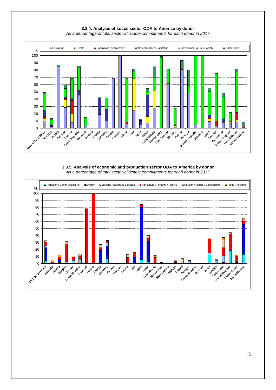

#### **3.3.4. Analysis of social sector ODA to America by donor** *As a percentage of total sector-allocable commitments for each donor in 2017*

#### **3.3.5. Analysis of economic and production sector ODA to America by donor**  *As a percentage of total sector-allocable commitments for each donor in 2017*

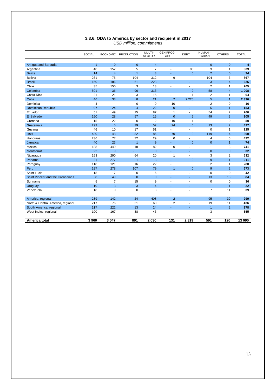|                                   | <b>SOCIAL</b>  | <b>ECONOMIC</b> | <b>PRODUCTION</b> | MULTI-<br><b>SECTOR</b> | GEN.PROG.<br><b>AID</b>  | <b>DEBT</b>              | HUMANI-<br><b>TARIAN</b> | <b>OTHERS</b>           | <b>TOTAL</b> |
|-----------------------------------|----------------|-----------------|-------------------|-------------------------|--------------------------|--------------------------|--------------------------|-------------------------|--------------|
|                                   |                |                 |                   |                         |                          |                          |                          |                         |              |
| Antigua and Barbuda               | $\overline{1}$ | $\overline{0}$  | $\overline{0}$    | $\overline{4}$          | ä,                       |                          | $\overline{0}$           | $\mathbf{0}$            | 4            |
| Argentina                         | 40             | 152             | 5                 | $\overline{7}$          | ä,                       | 96                       | 3                        | $\mathbf{1}$            | 303          |
| <b>Belize</b>                     | 14             | $\overline{4}$  | $\mathbf{1}$      | 3                       | ÷                        | $\mathbf 0$              | $\overline{2}$           | $\mathbf{0}$            | 24           |
| <b>Bolivia</b>                    | 261            | 75              | 104               | 312                     | 9                        | ä,                       | 104                      | 3                       | 867          |
| <b>Brazil</b>                     | 150            | 186             | 61                | 223                     | ä,                       | ٠                        | 3                        | $\overline{4}$          | 626          |
| Chile                             | 35             | 150             | 3                 | 13                      | $\overline{a}$           | $\overline{\phantom{a}}$ | $\overline{2}$           | $\mathbf{1}$            | 205          |
| Colombia                          | 501            | 36              | 96                | 313                     | $\blacksquare$           | $\mathbf 0$              | 58                       | $\overline{4}$          | 1 008        |
| Costa Rica                        | 21             | 21              | 3                 | 15                      | ÷,                       | 1                        | $\overline{2}$           | $\mathbf{1}$            | 64           |
| Cuba                              | 46             | 33              | 8                 | 21                      | 2                        | 2 2 2 0                  | 5                        | $\overline{1}$          | 2 3 3 6      |
| Dominica                          | $\overline{4}$ | ÷.              | $\mathbf 0$       | 0                       | 10                       | $\sim$                   | $\overline{2}$           | $\mathbf 0$             | 16           |
| <b>Dominican Republic</b>         | 97             | 24              | $\overline{4}$    | 22                      | $\mathbf{0}$             | ×.                       | 5                        | $\mathbf{1}$            | 153          |
| Ecuador                           | 51             | 49              | 15                | 87                      | $\mathbf{1}$             | $\sim$                   | 54                       | $\overline{2}$          | 260          |
| <b>El Salvador</b>                | 150            | 28              | 57                | 15                      | $\mathbf{0}$             | $\overline{2}$           | 49                       | 3                       | 305          |
| Grenada                           | 15             | 22              | $\mathbf 0$       | $\overline{2}$          | 10                       | 1                        | $\mathbf{1}$             | $\mathbf 0$             | 50           |
| Guatemala                         | 293            | 5               | 39                | 52                      | 24                       | $\mathbf 0$              | 13                       | $\overline{2}$          | 427          |
| Guyana                            | 46             | 10              | 17                | 51                      | L.                       |                          | 0                        | $\mathbf{1}$            | 125          |
| Haiti                             | 480            | 48              | 52                | 86                      | 70                       | $\mathbf 0$              | 119                      | $\overline{\mathbf{4}}$ | 860          |
| Honduras                          | 236            | 77              | 72                | 29                      | $\mathbf 0$              | $\sim$                   | $\overline{4}$           | 5                       | 422          |
| Jamaica                           | 40             | 23              | $\overline{1}$    | 9                       | ٠                        | $\mathbf 0$              | $\overline{0}$           | $\overline{1}$          | 74           |
| Mexico                            | 188            | 449             | 18                | 82                      | $\pmb{0}$                | ä,                       | 1                        | 3                       | 741          |
| <b>Montserrat</b>                 | 22             | 9               | ÷                 | $\mathbf 0$             | ä,                       | ä,                       | $\overline{0}$           | $\mathbf{0}$            | 32           |
| Nicaragua                         | 153            | 290             | 64                | 20                      | $\overline{1}$           | $\sim$                   | 3                        | $\overline{2}$          | 532          |
| Panama                            | 21             | 277             | $\overline{1}$    | 3                       | $\omega$                 | $\mathbf{0}$             | 9                        | $\overline{1}$          | 311          |
| Paraguay                          | 118            | 121             | 16                | 22                      | ä,                       | $\mathbf 0$              | $\overline{2}$           | $\mathbf{1}$            | 280          |
| Peru                              | 197            | 278             | 107               | 79                      | $\overline{1}$           | $\overline{0}$           | 9                        | $\overline{2}$          | 673          |
| Saint Lucia                       | 18             | 17              | $\mathbf 0$       | 6                       | $\overline{\phantom{a}}$ | $\overline{\phantom{a}}$ | $\Omega$                 | $\Omega$                | 42           |
| Saint Vincent and the Grenadines  | 8              | 49              | $\mathbf{0}$      | $\mathbf{0}$            | $\blacksquare$           | ٠                        | 13                       | 13                      | 84           |
| Suriname                          | 5              | $\overline{7}$  | 15                | 9                       | ä,                       |                          | $\pmb{0}$                | $\mathbf 0$             | 36           |
| Uruguay                           | 10             | 3               | 3                 | $\overline{4}$          | $\overline{a}$           | ×.                       | $\overline{1}$           | $\overline{1}$          | 22           |
| Venezuela                         | 18             | $\mathbf 0$     | $\mathbf 0$       | 3                       | ä,                       | ÷.                       | $\overline{7}$           | 11                      | 39           |
| America, regional                 | 289            | 142             | 24                | 408                     | $\overline{2}$           | ٠                        | 95                       | 39                      | 999          |
| North & Central America, regional | 217            | 76              | 51                | 60                      | $\overline{2}$           | ä,                       | 19                       | 11                      | 436          |
| South America, regional           | 117            | 222             | 13                | 24                      | ٠                        | ÷.                       | $\mathbf{1}$             | $\overline{2}$          | 378          |
| West Indies, regional             | 100            | 167             | 38                | 46                      | ä,                       | ×                        | 3                        | L,                      | 355          |
| America total                     | 3960           | 3 0 4 7         | 891               | 2030                    | 131                      | 2 3 1 9                  | 591                      | 120                     | 13 090       |

#### **3.3.6. ODA to America by sector and recipient in 2017** *USD million, commitments*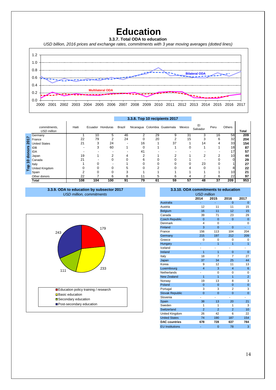### **Education**

**3.3.7. Total ODA to education** 

*USD billion, 2016 prices and exchange rates, commitments with 3 year moving averages (dotted lines)*



|        |                                    |       |     |                  |        |    |    | 3.3.8. Top 10 recipients 2017 |        |                |      |                 |              |
|--------|------------------------------------|-------|-----|------------------|--------|----|----|-------------------------------|--------|----------------|------|-----------------|--------------|
|        | commitments,<br><b>USD million</b> | Haiti |     | Ecuador Honduras | Brazil |    |    | Nicaragua Colombia Guatemala  | Mexico | EI<br>Salvador | Peru | Others          | <b>Total</b> |
|        | Germany                            |       | 10  | 5                | 46     | ົ  | 29 | 9                             | 31     |                | 16   | 58              | 209          |
| r<br>δ | France                             | 22    | 79  | 2                | 24     |    | 20 | 2                             | 15     |                | 6    | 32              | 204          |
| Ñ      | <b>United States</b>               | 21    | ົ   | 24               |        | 16 |    | 37                            |        | 14             |      | 33              | 154          |
| ဖူ     | <b>IDB</b>                         |       |     | 60               |        |    |    |                               |        |                |      | 18 <sub>1</sub> | 87           |
| ဠ      | <b>IDA</b>                         |       |     |                  |        | 41 |    |                               |        |                |      |                 | 57           |
| 응      | Japan                              | 19    |     | ⌒                |        |    |    |                               |        |                |      | 10 <sub>1</sub> | 44           |
| 0      | Canada                             | 21    |     |                  |        |    |    |                               |        |                |      |                 | 29           |
|        | Italy                              |       |     |                  |        |    |    |                               |        | 23             |      |                 | 27           |
| Top    | <b>United Kingdom</b>              |       |     |                  |        |    |    |                               |        |                |      |                 | 22           |
|        | Spain                              |       |     |                  |        |    |    |                               |        |                |      |                 | 21           |
|        | Other donors                       | 22    |     | 6                | 8      | 11 | 5  | 6                             | 4      | າ              | 6    | 22              | 97           |
|        | Total                              | 108   | 104 | 100              | 91     | 79 | 61 | 59                            | 57     | 48             | 37   | 209             | 953          |

**3.3.9. ODA to education by subsector 2017** *USD million, commitments*



| 3.3.10. ODA commitments to education |                         |                |                         |                |
|--------------------------------------|-------------------------|----------------|-------------------------|----------------|
|                                      | <b>USD million</b>      |                |                         |                |
|                                      | 2014                    | 2015           | 2016                    | 2017           |
| Australia                            |                         |                | $\overline{0}$          | 0              |
| Austria                              | 12                      | 11             | 11                      | 15             |
| Belgium                              | 16                      | 11             | 12                      | 15             |
| Canada                               | 39                      | 71             | 23                      | 29             |
| <b>Czech Republic</b>                | $\overline{0}$          | $\overline{0}$ | $\overline{0}$          | $\overline{0}$ |
| Denmark                              | 4                       | 0              |                         | $\Omega$       |
| Finland                              | 3                       | $\overline{0}$ | $\overline{0}$          |                |
| France                               | 156                     | 113            | 104                     | 204            |
| Germany                              | 215                     | 197            | 212                     | 209            |
| Greece                               | 0                       | 0              | 0                       | 0              |
| Hungary                              |                         | $\overline{1}$ | $\overline{1}$          | $\overline{1}$ |
| Iceland                              |                         |                |                         |                |
| Ireland                              | $\overline{1}$          | 1              | $\overline{0}$          | $\overline{0}$ |
| Italy                                | 18                      | 7              | 7                       | 27             |
| Japan                                | 37                      | 34             | 25                      | 44             |
| Korea                                | 9                       | 12             | 11                      | 13             |
| Luxembourg                           | $\overline{\mathbf{4}}$ | 3              | $\overline{\mathbf{4}}$ | 6              |
| Netherlands                          | ٠                       | 0              | 0                       | 0              |
| <b>New Zealand</b>                   | $\overline{1}$          | 1              | $\overline{1}$          | $\overline{2}$ |
| Norway                               | 19                      | 13             | 8                       | 3              |
| Poland                               | $\overline{0}$          | $\overline{0}$ | $\overline{0}$          | $\mathbf 0$    |
| Portugal                             | 3                       | 3              | $\overline{2}$          | 3              |
| <b>Slovak Republic</b>               | $\overline{0}$          | $\overline{0}$ | $\overline{0}$          | $\overline{0}$ |
| Slovenia                             |                         |                |                         |                |
| Spain                                | 38                      | 13             | 20                      | 21             |
| Sweden                               | 1                       | 1              | 1                       | 3              |
| Switzerland                          | $\overline{2}$          | $\overline{2}$ | $\overline{2}$          | 10             |
| United Kingdom                       | 26                      | 42             | 6                       | 22             |
| <b>United States</b>                 | 74                      | 190            | 187                     | 154            |
| <b>DAC</b> countries                 | 678                     | 728            | 637                     | 784            |
| <b>EU Institutions</b>               |                         | $\Omega$       | 78                      | 3              |
|                                      |                         |                |                         |                |

**3.3.10. ODA commitments to education**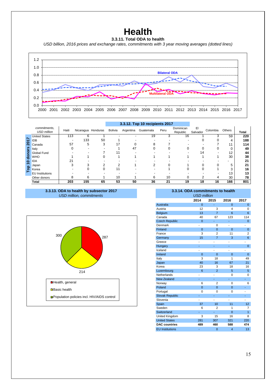### **Health**

**3.3.11. Total ODA to health**

*USD billion, 2016 prices and exchange rates, commitments with 3 year moving averages (dotted lines)*



|         |                                    |       |                    |    |         |           | 3.3.12. Top 10 recipients 2017 |                 |                       |                |          |        |              |
|---------|------------------------------------|-------|--------------------|----|---------|-----------|--------------------------------|-----------------|-----------------------|----------------|----------|--------|--------------|
|         | commitments,<br><b>USD million</b> | Haiti | Nicaragua Honduras |    | Bolivia | Argentina | Guatemala                      | Peru            | Dominican<br>Republic | EI<br>Salvador | Colombia | Others | <b>Total</b> |
| ∼       | <b>United States</b>               | 113   | 6                  |    |         |           | 19                             |                 | 16                    |                |          | 59     | 220          |
|         | IDB                                |       | 133                | 50 |         |           |                                |                 |                       |                |          |        | 188          |
| 201     | Canada                             | 57    | 5                  | 3  | 17      |           |                                |                 |                       |                |          |        | 114          |
|         | Italy                              |       |                    |    |         | 47        |                                |                 |                       |                |          |        | 49           |
|         | <b>Global Fund</b>                 |       |                    |    |         |           |                                |                 |                       | 14             |          | 12     | 44           |
| donors  | <b>WHO</b>                         |       |                    |    |         |           |                                |                 |                       |                |          | 30     | 38           |
| $\circ$ | ida                                | 21    |                    |    |         |           |                                |                 |                       |                |          |        | 21           |
|         | Japan                              |       |                    |    |         |           |                                |                 |                       |                |          | 5      | 21           |
| 8       | Korea                              |       |                    |    | 11      |           |                                |                 |                       |                |          | ົ      | 16           |
|         | <b>EU</b> Institutions             |       |                    |    |         |           |                                |                 |                       |                |          | 13     | 13           |
|         | Other donors                       | ႙     | 6                  |    | 10      |           | 6                              | 10              |                       |                |          | 30     | 78           |
|         | Total                              | 203   | 155                | 65 | 53      | 50        | 36                             | $\overline{21}$ | 19                    | 18             | 16       | 166    | 801          |

*USD million, commitments* **3.3.13. ODA to health by subsector 2017 3.3.14. ODA commitments to health**



|                        | 3.3.14. ODA commitments to health<br><b>USD</b> million |                |                         |                |
|------------------------|---------------------------------------------------------|----------------|-------------------------|----------------|
|                        | 2014                                                    | 2015           | 2016                    | 2017           |
| Australia              | $\Omega$                                                |                | $\Omega$                | $\mathbf 0$    |
| Austria                | 12                                                      | 3              | 4                       | $\Omega$       |
| <b>Belgium</b>         | 13                                                      | $\overline{7}$ | 6                       | 6              |
| Canada                 | 40                                                      | 67             | 123                     | 114            |
| <b>Czech Republic</b>  | $\Omega$                                                | Ξ              | Ξ                       | $\overline{0}$ |
| Denmark                |                                                         | $\Omega$       | ۷                       |                |
| Finland                | $\Omega$                                                | $\Omega$       | $\Omega$                | $\overline{0}$ |
| France                 | 3                                                       | $\overline{2}$ | 11                      | 2              |
| Germany                | 15                                                      | $\overline{7}$ | 3                       | 6              |
| Greece                 |                                                         |                |                         |                |
| Hungary                |                                                         |                | ä,                      | $\overline{0}$ |
| Iceland                |                                                         |                | ä,                      |                |
| Ireland                | $\Omega$                                                | $\Omega$       | $\Omega$                | $\overline{0}$ |
| Italy                  | 3                                                       | 18             | 1                       | 49             |
| Japan                  | 40                                                      | 16             | 67                      | 21             |
| Korea                  | 23                                                      | 3              | 18                      | 16             |
| Luxembourg             | 6                                                       | $\overline{2}$ | 5                       | 5              |
| <b>Netherlands</b>     |                                                         |                | 0                       | 0              |
| New Zealand            |                                                         |                |                         |                |
| Norway                 | 6                                                       | $\overline{2}$ | $\Omega$                | 6              |
| Poland                 | $\Omega$                                                | $\Omega$       | $\Omega$                |                |
| Portugal               | $\Omega$                                                | $\Omega$       | 0                       |                |
| <b>Slovak Republic</b> | ä,                                                      | Ξ              | Ξ                       | ä,             |
| Slovenia               |                                                         |                |                         |                |
| Spain                  | 37                                                      | 10             | 11                      | 12             |
| Sweden                 | 6                                                       | $\overline{2}$ | 1                       | 7              |
| Switzerland            | L.                                                      |                | $\Omega$                | $\overline{1}$ |
| United Kingdom         | 3                                                       | 15             | 16                      | 8              |
| <b>United States</b>   | 281                                                     | 307            | 321                     | 220            |
| <b>DAC</b> countries   | 489                                                     | 460            | 588                     | 474            |
| <b>EU</b> Institutions |                                                         | $\Omega$       | $\overline{\mathbf{A}}$ | 13             |
|                        |                                                         |                |                         |                |